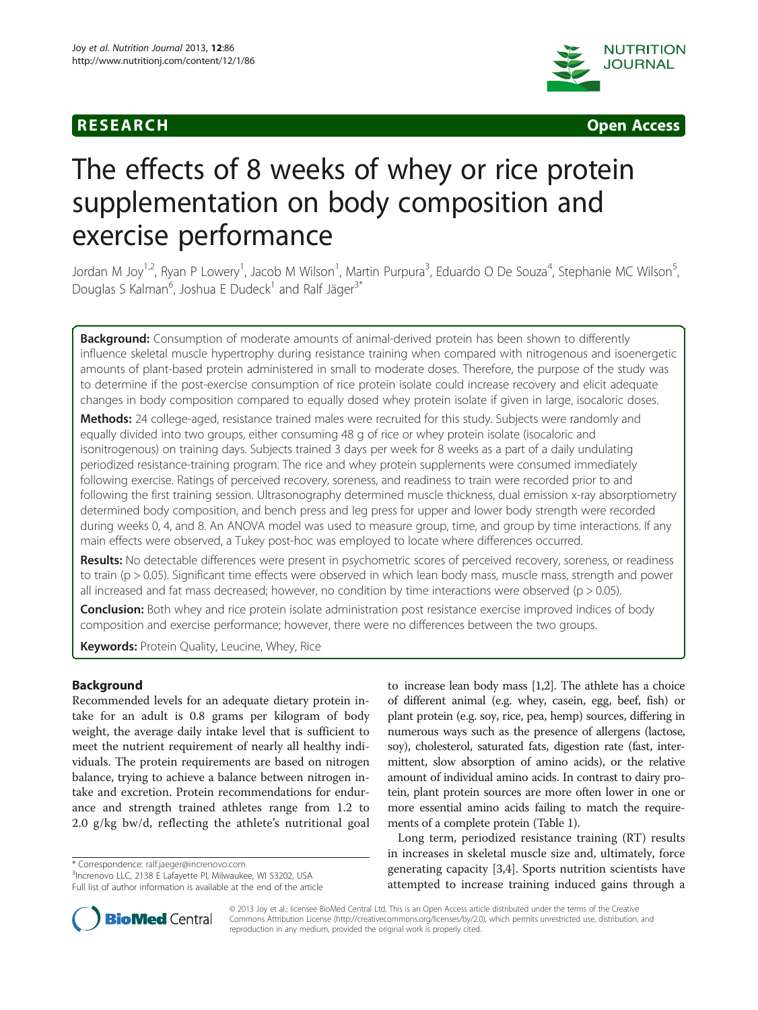



# The effects of 8 weeks of whey or rice protein supplementation on body composition and exercise performance

Jordan M Joy<sup>1,2</sup>, Ryan P Lowery<sup>1</sup>, Jacob M Wilson<sup>1</sup>, Martin Purpura<sup>3</sup>, Eduardo O De Souza<sup>4</sup>, Stephanie MC Wilson<sup>5</sup> , Douglas S Kalman<sup>6</sup>, Joshua E Dudeck<sup>1</sup> and Ralf Jäger<sup>3\*</sup>

**Background:** Consumption of moderate amounts of animal-derived protein has been shown to differently influence skeletal muscle hypertrophy during resistance training when compared with nitrogenous and isoenergetic amounts of plant-based protein administered in small to moderate doses. Therefore, the purpose of the study was to determine if the post-exercise consumption of rice protein isolate could increase recovery and elicit adequate changes in body composition compared to equally dosed whey protein isolate if given in large, isocaloric doses.

Methods: 24 college-aged, resistance trained males were recruited for this study. Subjects were randomly and equally divided into two groups, either consuming 48 g of rice or whey protein isolate (isocaloric and isonitrogenous) on training days. Subjects trained 3 days per week for 8 weeks as a part of a daily undulating periodized resistance-training program. The rice and whey protein supplements were consumed immediately following exercise. Ratings of perceived recovery, soreness, and readiness to train were recorded prior to and following the first training session. Ultrasonography determined muscle thickness, dual emission x-ray absorptiometry determined body composition, and bench press and leg press for upper and lower body strength were recorded during weeks 0, 4, and 8. An ANOVA model was used to measure group, time, and group by time interactions. If any main effects were observed, a Tukey post-hoc was employed to locate where differences occurred.

Results: No detectable differences were present in psychometric scores of perceived recovery, soreness, or readiness to train (p > 0.05). Significant time effects were observed in which lean body mass, muscle mass, strength and power all increased and fat mass decreased; however, no condition by time interactions were observed ( $p > 0.05$ ).

Conclusion: Both whey and rice protein isolate administration post resistance exercise improved indices of body composition and exercise performance; however, there were no differences between the two groups.

Keywords: Protein Quality, Leucine, Whey, Rice

# Background

Recommended levels for an adequate dietary protein intake for an adult is 0.8 grams per kilogram of body weight, the average daily intake level that is sufficient to meet the nutrient requirement of nearly all healthy individuals. The protein requirements are based on nitrogen balance, trying to achieve a balance between nitrogen intake and excretion. Protein recommendations for endurance and strength trained athletes range from 1.2 to 2.0 g/kg bw/d, reflecting the athlete's nutritional goal

\* Correspondence: [ralf.jaeger@increnovo.com](mailto:ralf.jaeger@increnovo.com) <sup>3</sup>

<sup>3</sup>Increnovo LLC, 2138 E Lafayette Pl, Milwaukee, WI 53202, USA Full list of author information is available at the end of the article



Long term, periodized resistance training (RT) results in increases in skeletal muscle size and, ultimately, force generating capacity [\[3,4](#page-5-0)]. Sports nutrition scientists have attempted to increase training induced gains through a



© 2013 Joy et al.; licensee BioMed Central Ltd. This is an Open Access article distributed under the terms of the Creative Commons Attribution License [\(http://creativecommons.org/licenses/by/2.0\)](http://creativecommons.org/licenses/by/2.0), which permits unrestricted use, distribution, and reproduction in any medium, provided the original work is properly cited.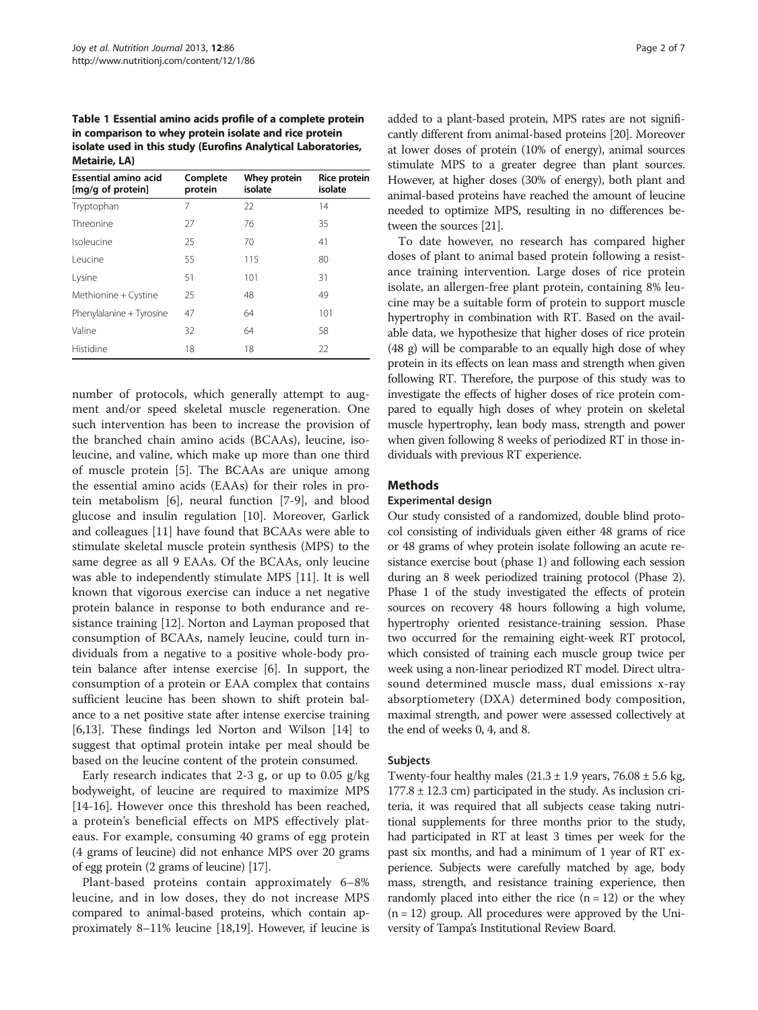<span id="page-1-0"></span>Table 1 Essential amino acids profile of a complete protein in comparison to whey protein isolate and rice protein isolate used in this study (Eurofins Analytical Laboratories, Metairie, LA)

| <b>Essential amino acid</b><br>[mg/g of protein] | Complete<br>protein | Whey protein<br>isolate | Rice protein<br>isolate |
|--------------------------------------------------|---------------------|-------------------------|-------------------------|
| Tryptophan                                       | 7                   | 22                      | 14                      |
| Threonine                                        | 27                  | 76                      | 35                      |
| Isoleucine                                       | 25                  | 70                      | 41                      |
| I eucine                                         | 55                  | 115                     | 80                      |
| Lysine                                           | 51                  | 101                     | 31                      |
| Methionine + Cystine                             | 25                  | 48                      | 49                      |
| Phenylalanine + Tyrosine                         | 47                  | 64                      | 101                     |
| Valine                                           | 32                  | 64                      | 58                      |
| Histidine                                        | 18                  | 18                      | 22                      |

number of protocols, which generally attempt to augment and/or speed skeletal muscle regeneration. One such intervention has been to increase the provision of the branched chain amino acids (BCAAs), leucine, isoleucine, and valine, which make up more than one third of muscle protein [[5\]](#page-5-0). The BCAAs are unique among the essential amino acids (EAAs) for their roles in protein metabolism [[6](#page-5-0)], neural function [[7-9](#page-5-0)], and blood glucose and insulin regulation [\[10\]](#page-5-0). Moreover, Garlick and colleagues [[11](#page-5-0)] have found that BCAAs were able to stimulate skeletal muscle protein synthesis (MPS) to the same degree as all 9 EAAs. Of the BCAAs, only leucine was able to independently stimulate MPS [[11\]](#page-5-0). It is well known that vigorous exercise can induce a net negative protein balance in response to both endurance and resistance training [[12](#page-5-0)]. Norton and Layman proposed that consumption of BCAAs, namely leucine, could turn individuals from a negative to a positive whole-body protein balance after intense exercise [\[6](#page-5-0)]. In support, the consumption of a protein or EAA complex that contains sufficient leucine has been shown to shift protein balance to a net positive state after intense exercise training [[6,13\]](#page-5-0). These findings led Norton and Wilson [\[14\]](#page-5-0) to suggest that optimal protein intake per meal should be based on the leucine content of the protein consumed.

Early research indicates that 2-3 g, or up to  $0.05$  g/kg bodyweight, of leucine are required to maximize MPS [[14-](#page-5-0)[16](#page-6-0)]. However once this threshold has been reached, a protein's beneficial effects on MPS effectively plateaus. For example, consuming 40 grams of egg protein (4 grams of leucine) did not enhance MPS over 20 grams of egg protein (2 grams of leucine) [\[17\]](#page-6-0).

Plant-based proteins contain approximately 6–8% leucine, and in low doses, they do not increase MPS compared to animal-based proteins, which contain approximately 8–11% leucine [\[18,19\]](#page-6-0). However, if leucine is added to a plant-based protein, MPS rates are not significantly different from animal-based proteins [\[20\]](#page-6-0). Moreover at lower doses of protein (10% of energy), animal sources stimulate MPS to a greater degree than plant sources. However, at higher doses (30% of energy), both plant and animal-based proteins have reached the amount of leucine needed to optimize MPS, resulting in no differences between the sources [\[21\]](#page-6-0).

To date however, no research has compared higher doses of plant to animal based protein following a resistance training intervention. Large doses of rice protein isolate, an allergen-free plant protein, containing 8% leucine may be a suitable form of protein to support muscle hypertrophy in combination with RT. Based on the available data, we hypothesize that higher doses of rice protein (48 g) will be comparable to an equally high dose of whey protein in its effects on lean mass and strength when given following RT. Therefore, the purpose of this study was to investigate the effects of higher doses of rice protein compared to equally high doses of whey protein on skeletal muscle hypertrophy, lean body mass, strength and power when given following 8 weeks of periodized RT in those individuals with previous RT experience.

# **Methods**

#### Experimental design

Our study consisted of a randomized, double blind protocol consisting of individuals given either 48 grams of rice or 48 grams of whey protein isolate following an acute resistance exercise bout (phase 1) and following each session during an 8 week periodized training protocol (Phase 2). Phase 1 of the study investigated the effects of protein sources on recovery 48 hours following a high volume, hypertrophy oriented resistance-training session. Phase two occurred for the remaining eight-week RT protocol, which consisted of training each muscle group twice per week using a non-linear periodized RT model. Direct ultrasound determined muscle mass, dual emissions x-ray absorptiometery (DXA) determined body composition, maximal strength, and power were assessed collectively at the end of weeks 0, 4, and 8.

### Subjects

Twenty-four healthy males  $(21.3 \pm 1.9 \text{ years}, 76.08 \pm 5.6 \text{ kg},$  $177.8 \pm 12.3$  cm) participated in the study. As inclusion criteria, it was required that all subjects cease taking nutritional supplements for three months prior to the study, had participated in RT at least 3 times per week for the past six months, and had a minimum of 1 year of RT experience. Subjects were carefully matched by age, body mass, strength, and resistance training experience, then randomly placed into either the rice  $(n = 12)$  or the whey  $(n = 12)$  group. All procedures were approved by the University of Tampa's Institutional Review Board.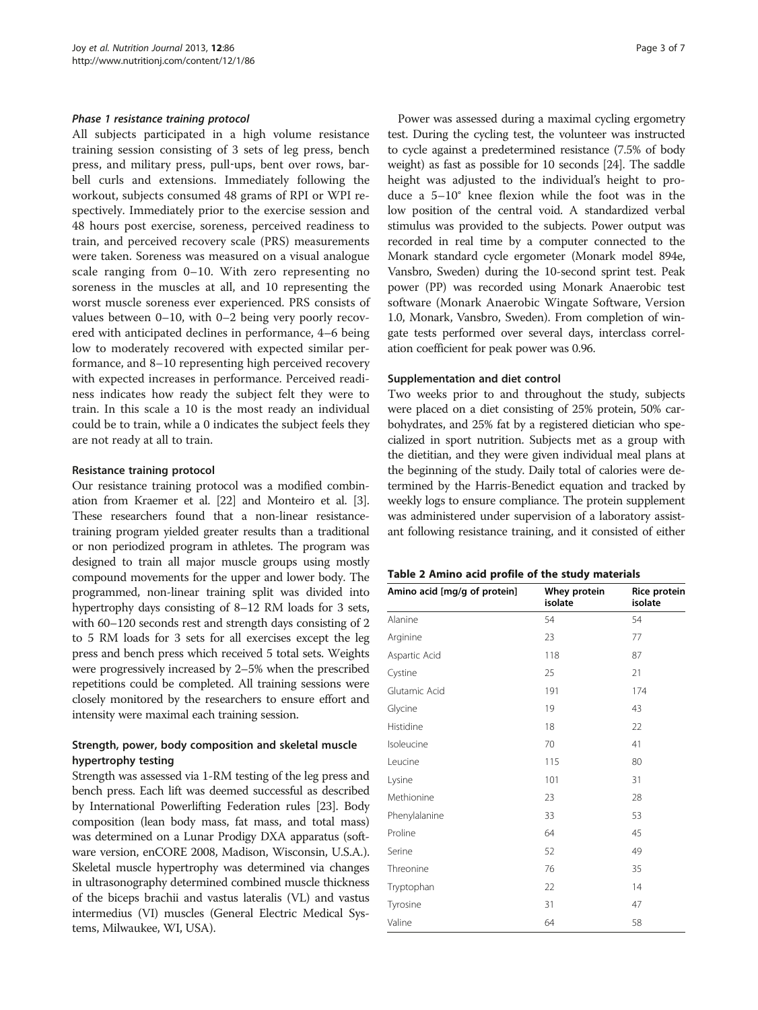<span id="page-2-0"></span>All subjects participated in a high volume resistance training session consisting of 3 sets of leg press, bench press, and military press, pull‐ups, bent over rows, barbell curls and extensions. Immediately following the workout, subjects consumed 48 grams of RPI or WPI respectively. Immediately prior to the exercise session and 48 hours post exercise, soreness, perceived readiness to train, and perceived recovery scale (PRS) measurements were taken. Soreness was measured on a visual analogue scale ranging from 0–10. With zero representing no soreness in the muscles at all, and 10 representing the worst muscle soreness ever experienced. PRS consists of values between 0–10, with 0–2 being very poorly recovered with anticipated declines in performance, 4–6 being low to moderately recovered with expected similar performance, and 8–10 representing high perceived recovery with expected increases in performance. Perceived readiness indicates how ready the subject felt they were to train. In this scale a 10 is the most ready an individual could be to train, while a 0 indicates the subject feels they are not ready at all to train.

#### Resistance training protocol

Our resistance training protocol was a modified combination from Kraemer et al. [\[22\]](#page-6-0) and Monteiro et al. [[3](#page-5-0)]. These researchers found that a non-linear resistancetraining program yielded greater results than a traditional or non periodized program in athletes. The program was designed to train all major muscle groups using mostly compound movements for the upper and lower body. The programmed, non-linear training split was divided into hypertrophy days consisting of 8–12 RM loads for 3 sets, with 60–120 seconds rest and strength days consisting of 2 to 5 RM loads for 3 sets for all exercises except the leg press and bench press which received 5 total sets. Weights were progressively increased by 2–5% when the prescribed repetitions could be completed. All training sessions were closely monitored by the researchers to ensure effort and intensity were maximal each training session.

# Strength, power, body composition and skeletal muscle hypertrophy testing

Strength was assessed via 1-RM testing of the leg press and bench press. Each lift was deemed successful as described by International Powerlifting Federation rules [\[23\]](#page-6-0). Body composition (lean body mass, fat mass, and total mass) was determined on a Lunar Prodigy DXA apparatus (software version, enCORE 2008, Madison, Wisconsin, U.S.A.). Skeletal muscle hypertrophy was determined via changes in ultrasonography determined combined muscle thickness of the biceps brachii and vastus lateralis (VL) and vastus intermedius (VI) muscles (General Electric Medical Systems, Milwaukee, WI, USA).

Power was assessed during a maximal cycling ergometry test. During the cycling test, the volunteer was instructed to cycle against a predetermined resistance (7.5% of body weight) as fast as possible for 10 seconds [[24](#page-6-0)]. The saddle height was adjusted to the individual's height to produce a 5–10° knee flexion while the foot was in the low position of the central void. A standardized verbal stimulus was provided to the subjects. Power output was recorded in real time by a computer connected to the Monark standard cycle ergometer (Monark model 894e, Vansbro, Sweden) during the 10-second sprint test. Peak power (PP) was recorded using Monark Anaerobic test software (Monark Anaerobic Wingate Software, Version 1.0, Monark, Vansbro, Sweden). From completion of wingate tests performed over several days, interclass correlation coefficient for peak power was 0.96.

#### Supplementation and diet control

Two weeks prior to and throughout the study, subjects were placed on a diet consisting of 25% protein, 50% carbohydrates, and 25% fat by a registered dietician who specialized in sport nutrition. Subjects met as a group with the dietitian, and they were given individual meal plans at the beginning of the study. Daily total of calories were determined by the Harris-Benedict equation and tracked by weekly logs to ensure compliance. The protein supplement was administered under supervision of a laboratory assistant following resistance training, and it consisted of either

| Table 2 Amino acid profile of the study materials |  |  |
|---------------------------------------------------|--|--|
|---------------------------------------------------|--|--|

| Amino acid [mg/g of protein] | Whey protein<br>isolate | Rice protein<br>isolate |
|------------------------------|-------------------------|-------------------------|
| Alanine                      | 54                      | 54                      |
| Arginine                     | 23                      | 77                      |
| Aspartic Acid                | 118                     | 87                      |
| Cystine                      | 25                      | 21                      |
| Glutamic Acid                | 191                     | 174                     |
| Glycine                      | 19                      | 43                      |
| Histidine                    | 18                      | 22                      |
| Isoleucine                   | 70                      | 41                      |
| Leucine                      | 115                     | 80                      |
| Lysine                       | 101                     | 31                      |
| Methionine                   | 23                      | 28                      |
| Phenylalanine                | 33                      | 53                      |
| Proline                      | 64                      | 45                      |
| Serine                       | 52                      | 49                      |
| Threonine                    | 76                      | 35                      |
| Tryptophan                   | 22                      | 14                      |
| Tyrosine                     | 31                      | 47                      |
| Valine                       | 64                      | 58                      |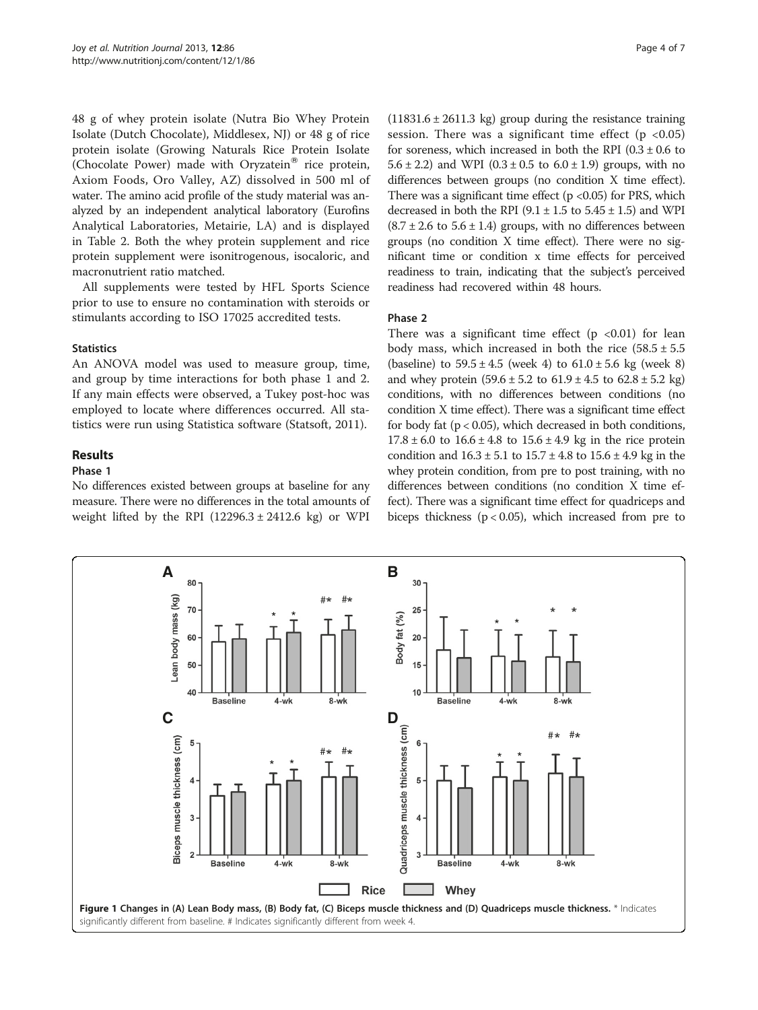<span id="page-3-0"></span>48 g of whey protein isolate (Nutra Bio Whey Protein Isolate (Dutch Chocolate), Middlesex, NJ) or 48 g of rice protein isolate (Growing Naturals Rice Protein Isolate (Chocolate Power) made with Oryzatein® rice protein, Axiom Foods, Oro Valley, AZ) dissolved in 500 ml of water. The amino acid profile of the study material was analyzed by an independent analytical laboratory (Eurofins Analytical Laboratories, Metairie, LA) and is displayed in Table [2.](#page-2-0) Both the whey protein supplement and rice protein supplement were isonitrogenous, isocaloric, and macronutrient ratio matched.

All supplements were tested by HFL Sports Science prior to use to ensure no contamination with steroids or stimulants according to ISO 17025 accredited tests.

# **Statistics**

An ANOVA model was used to measure group, time, and group by time interactions for both phase 1 and 2. If any main effects were observed, a Tukey post-hoc was employed to locate where differences occurred. All statistics were run using Statistica software (Statsoft, 2011).

# Results

# Phase 1

No differences existed between groups at baseline for any measure. There were no differences in the total amounts of weight lifted by the RPI  $(12296.3 \pm 2412.6 \text{ kg})$  or WPI

 $(11831.6 \pm 2611.3 \text{ kg})$  group during the resistance training session. There was a significant time effect ( $p < 0.05$ ) for soreness, which increased in both the RPI  $(0.3 \pm 0.6$  to 5.6  $\pm$  2.2) and WPI (0.3  $\pm$  0.5 to 6.0  $\pm$  1.9) groups, with no differences between groups (no condition X time effect). There was a significant time effect  $(p \lt 0.05)$  for PRS, which decreased in both the RPI  $(9.1 \pm 1.5 \text{ to } 5.45 \pm 1.5)$  and WPI  $(8.7 \pm 2.6$  to  $5.6 \pm 1.4)$  groups, with no differences between groups (no condition X time effect). There were no significant time or condition x time effects for perceived readiness to train, indicating that the subject's perceived readiness had recovered within 48 hours.

# Phase 2

There was a significant time effect  $(p \lt 0.01)$  for lean body mass, which increased in both the rice  $(58.5 \pm 5.5$ (baseline) to  $59.5 \pm 4.5$  (week 4) to  $61.0 \pm 5.6$  kg (week 8) and whey protein  $(59.6 \pm 5.2 \text{ to } 61.9 \pm 4.5 \text{ to } 62.8 \pm 5.2 \text{ kg})$ conditions, with no differences between conditions (no condition X time effect). There was a significant time effect for body fat  $(p < 0.05)$ , which decreased in both conditions,  $17.8 \pm 6.0$  to  $16.6 \pm 4.8$  to  $15.6 \pm 4.9$  kg in the rice protein condition and  $16.3 \pm 5.1$  to  $15.7 \pm 4.8$  to  $15.6 \pm 4.9$  kg in the whey protein condition, from pre to post training, with no differences between conditions (no condition X time effect). There was a significant time effect for quadriceps and biceps thickness ( $p < 0.05$ ), which increased from pre to

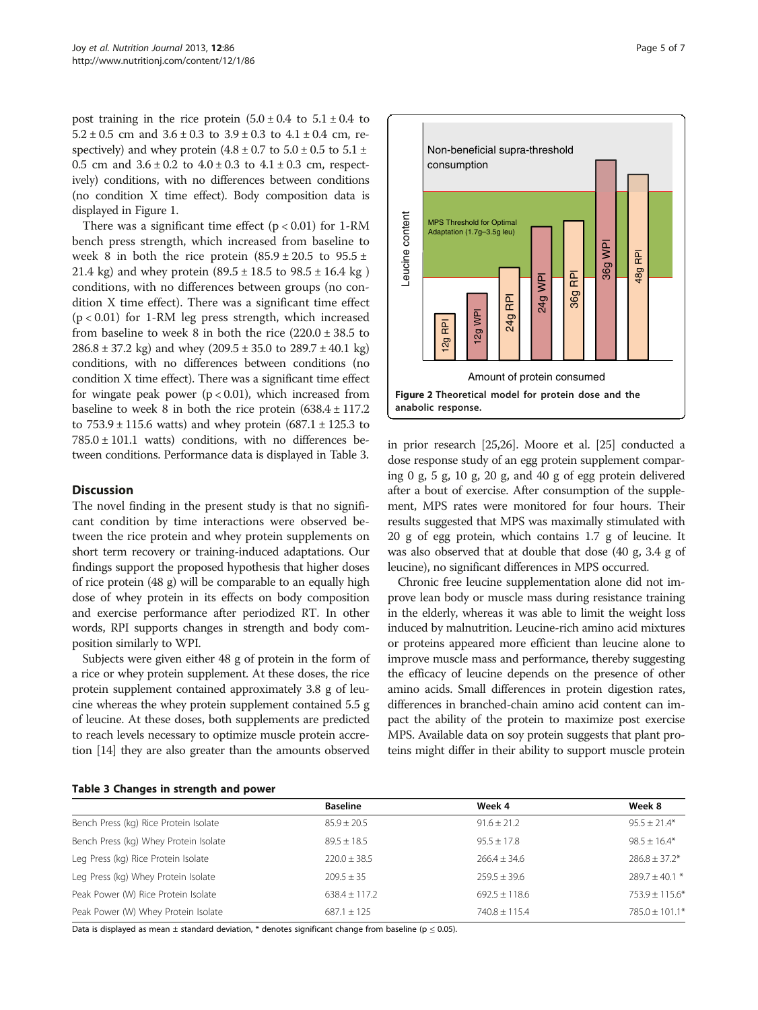<span id="page-4-0"></span>post training in the rice protein  $(5.0 \pm 0.4 \text{ to } 5.1 \pm 0.4 \text{ to }$  $5.2 \pm 0.5$  cm and  $3.6 \pm 0.3$  to  $3.9 \pm 0.3$  to  $4.1 \pm 0.4$  cm, respectively) and whey protein  $(4.8 \pm 0.7)$  to  $5.0 \pm 0.5$  to  $5.1 \pm 0.5$ 0.5 cm and  $3.6 \pm 0.2$  to  $4.0 \pm 0.3$  to  $4.1 \pm 0.3$  cm, respectively) conditions, with no differences between conditions (no condition X time effect). Body composition data is displayed in Figure [1](#page-3-0).

There was a significant time effect  $(p < 0.01)$  for 1-RM bench press strength, which increased from baseline to week 8 in both the rice protein  $(85.9 \pm 20.5 \text{ to } 95.5 \pm 1)$ 21.4 kg) and whey protein  $(89.5 \pm 18.5 \text{ to } 98.5 \pm 16.4 \text{ kg})$ conditions, with no differences between groups (no condition X time effect). There was a significant time effect  $(p < 0.01)$  for 1-RM leg press strength, which increased from baseline to week 8 in both the rice  $(220.0 \pm 38.5)$  to  $286.8 \pm 37.2$  kg) and whey  $(209.5 \pm 35.0$  to  $289.7 \pm 40.1$  kg) conditions, with no differences between conditions (no condition X time effect). There was a significant time effect for wingate peak power  $(p < 0.01)$ , which increased from baseline to week 8 in both the rice protein  $(638.4 \pm 117.2)$ to  $753.9 \pm 115.6$  watts) and whey protein  $(687.1 \pm 125.3)$  to  $785.0 \pm 101.1$  watts) conditions, with no differences between conditions. Performance data is displayed in Table 3.

### **Discussion**

The novel finding in the present study is that no significant condition by time interactions were observed between the rice protein and whey protein supplements on short term recovery or training-induced adaptations. Our findings support the proposed hypothesis that higher doses of rice protein (48 g) will be comparable to an equally high dose of whey protein in its effects on body composition and exercise performance after periodized RT. In other words, RPI supports changes in strength and body composition similarly to WPI.

Subjects were given either 48 g of protein in the form of a rice or whey protein supplement. At these doses, the rice protein supplement contained approximately 3.8 g of leucine whereas the whey protein supplement contained 5.5 g of leucine. At these doses, both supplements are predicted to reach levels necessary to optimize muscle protein accretion [\[14](#page-5-0)] they are also greater than the amounts observed



in prior research [\[25,26](#page-6-0)]. Moore et al. [\[25\]](#page-6-0) conducted a dose response study of an egg protein supplement comparing 0 g, 5 g, 10 g, 20 g, and 40 g of egg protein delivered after a bout of exercise. After consumption of the supplement, MPS rates were monitored for four hours. Their results suggested that MPS was maximally stimulated with 20 g of egg protein, which contains 1.7 g of leucine. It was also observed that at double that dose (40 g, 3.4 g of leucine), no significant differences in MPS occurred.

Chronic free leucine supplementation alone did not improve lean body or muscle mass during resistance training in the elderly, whereas it was able to limit the weight loss induced by malnutrition. Leucine-rich amino acid mixtures or proteins appeared more efficient than leucine alone to improve muscle mass and performance, thereby suggesting the efficacy of leucine depends on the presence of other amino acids. Small differences in protein digestion rates, differences in branched-chain amino acid content can impact the ability of the protein to maximize post exercise MPS. Available data on soy protein suggests that plant proteins might differ in their ability to support muscle protein

|  | Table 3 Changes in strength and power |  |  |  |  |
|--|---------------------------------------|--|--|--|--|
|--|---------------------------------------|--|--|--|--|

|                                       | <b>Baseline</b> | Week 4          | Week 8           |
|---------------------------------------|-----------------|-----------------|------------------|
| Bench Press (kg) Rice Protein Isolate | $85.9 + 20.5$   | $91.6 + 21.2$   | $95.5 + 21.4*$   |
| Bench Press (kg) Whey Protein Isolate | $89.5 + 18.5$   | $95.5 + 17.8$   | $98.5 + 16.4*$   |
| Leg Press (kg) Rice Protein Isolate   | $220.0 + 38.5$  | $266.4 + 34.6$  | $786.8 + 37.2*$  |
| Leg Press (kg) Whey Protein Isolate   | $209.5 + 35$    | $259.5 + 39.6$  | $789.7 + 40.1$ * |
| Peak Power (W) Rice Protein Isolate   | $638.4 + 117.2$ | $692.5 + 118.6$ | $753.9 + 115.6*$ |
| Peak Power (W) Whey Protein Isolate   | $687.1 + 125$   | $740.8 + 115.4$ | $785.0 + 101.1*$ |

Data is displayed as mean  $\pm$  standard deviation, \* denotes significant change from baseline ( $p \le 0.05$ ).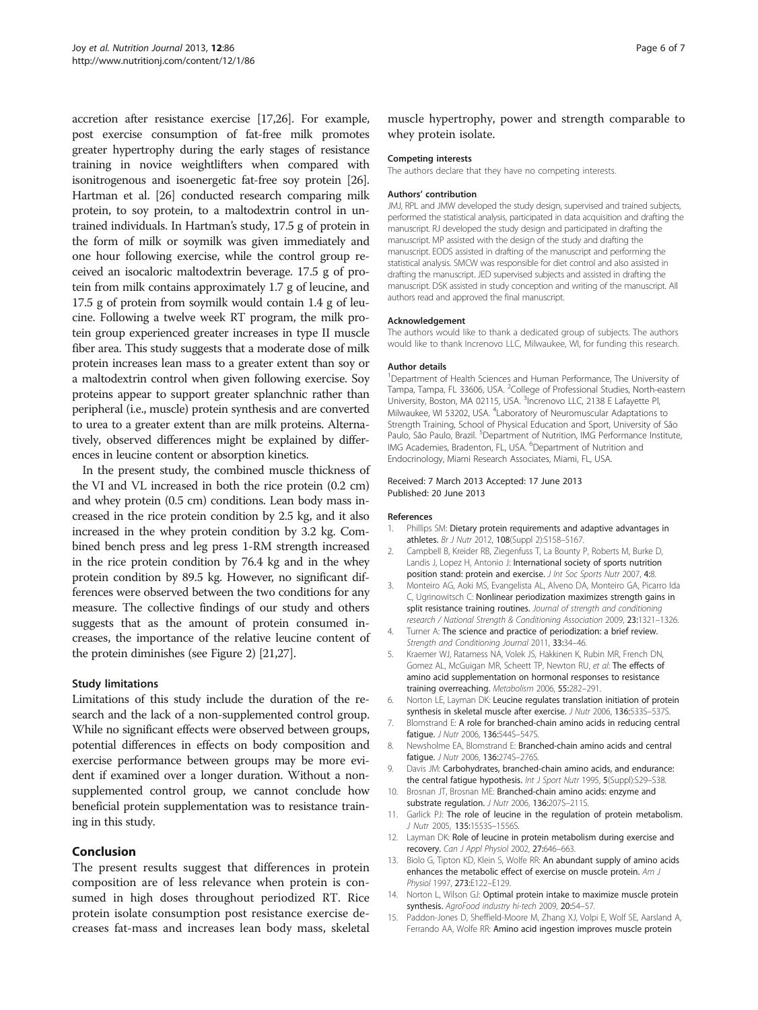<span id="page-5-0"></span>accretion after resistance exercise [\[17,26](#page-6-0)]. For example, post exercise consumption of fat-free milk promotes greater hypertrophy during the early stages of resistance training in novice weightlifters when compared with isonitrogenous and isoenergetic fat-free soy protein [[26](#page-6-0)]. Hartman et al. [\[26\]](#page-6-0) conducted research comparing milk protein, to soy protein, to a maltodextrin control in untrained individuals. In Hartman's study, 17.5 g of protein in the form of milk or soymilk was given immediately and one hour following exercise, while the control group received an isocaloric maltodextrin beverage. 17.5 g of protein from milk contains approximately 1.7 g of leucine, and 17.5 g of protein from soymilk would contain 1.4 g of leucine. Following a twelve week RT program, the milk protein group experienced greater increases in type II muscle fiber area. This study suggests that a moderate dose of milk protein increases lean mass to a greater extent than soy or a maltodextrin control when given following exercise. Soy proteins appear to support greater splanchnic rather than peripheral (i.e., muscle) protein synthesis and are converted to urea to a greater extent than are milk proteins. Alternatively, observed differences might be explained by differences in leucine content or absorption kinetics.

In the present study, the combined muscle thickness of the VI and VL increased in both the rice protein (0.2 cm) and whey protein (0.5 cm) conditions. Lean body mass increased in the rice protein condition by 2.5 kg, and it also increased in the whey protein condition by 3.2 kg. Combined bench press and leg press 1-RM strength increased in the rice protein condition by 76.4 kg and in the whey protein condition by 89.5 kg. However, no significant differences were observed between the two conditions for any measure. The collective findings of our study and others suggests that as the amount of protein consumed increases, the importance of the relative leucine content of the protein diminishes (see Figure [2\)](#page-4-0) [[21,27\]](#page-6-0).

### Study limitations

Limitations of this study include the duration of the research and the lack of a non-supplemented control group. While no significant effects were observed between groups, potential differences in effects on body composition and exercise performance between groups may be more evident if examined over a longer duration. Without a nonsupplemented control group, we cannot conclude how beneficial protein supplementation was to resistance training in this study.

# Conclusion

The present results suggest that differences in protein composition are of less relevance when protein is consumed in high doses throughout periodized RT. Rice protein isolate consumption post resistance exercise decreases fat-mass and increases lean body mass, skeletal muscle hypertrophy, power and strength comparable to whey protein isolate.

#### Competing interests

The authors declare that they have no competing interests.

#### Authors' contribution

JMJ, RPL and JMW developed the study design, supervised and trained subjects, performed the statistical analysis, participated in data acquisition and drafting the manuscript. RJ developed the study design and participated in drafting the manuscript. MP assisted with the design of the study and drafting the manuscript. EODS assisted in drafting of the manuscript and performing the statistical analysis. SMCW was responsible for diet control and also assisted in drafting the manuscript. JED supervised subjects and assisted in drafting the manuscript. DSK assisted in study conception and writing of the manuscript. All authors read and approved the final manuscript.

#### Acknowledgement

The authors would like to thank a dedicated group of subjects. The authors would like to thank Increnovo LLC, Milwaukee, WI, for funding this research.

#### Author details

<sup>1</sup>Department of Health Sciences and Human Performance, The University of Tampa, Tampa, FL 33606, USA. <sup>2</sup>College of Professional Studies, North-eastern University, Boston, MA 02115, USA. <sup>3</sup>Increnovo LLC, 2138 E Lafayette Pl, Milwaukee, WI 53202, USA. <sup>4</sup> Laboratory of Neuromuscular Adaptations to Strength Training, School of Physical Education and Sport, University of São Paulo, São Paulo, Brazil. <sup>5</sup>Department of Nutrition, IMG Performance Institute, IMG Academies, Bradenton, FL, USA. <sup>6</sup>Department of Nutrition and Endocrinology, Miami Research Associates, Miami, FL, USA.

#### Received: 7 March 2013 Accepted: 17 June 2013 Published: 20 June 2013

#### References

- 1. Phillips SM: Dietary protein requirements and adaptive advantages in athletes. Br J Nutr 2012, 108(Suppl 2):S158–S167.
- 2. Campbell B, Kreider RB, Ziegenfuss T, La Bounty P, Roberts M, Burke D, Landis J, Lopez H, Antonio J: International society of sports nutrition position stand: protein and exercise. *J Int Soc Sports Nutr* 2007, 4:8.
- 3. Monteiro AG, Aoki MS, Evangelista AL, Alveno DA, Monteiro GA, Picarro Ida C, Ugrinowitsch C: Nonlinear periodization maximizes strength gains in split resistance training routines. Journal of strength and conditioning research / National Strength & Conditioning Association 2009, 23:1321–1326.
- 4. Turner A: The science and practice of periodization: a brief review. Strength and Conditioning Journal 2011, 33:34–46.
- 5. Kraemer WJ, Ratamess NA, Volek JS, Hakkinen K, Rubin MR, French DN, Gomez AL, McGuigan MR, Scheett TP, Newton RU, et al: The effects of amino acid supplementation on hormonal responses to resistance training overreaching. Metabolism 2006, 55:282–291.
- 6. Norton LE, Layman DK: Leucine regulates translation initiation of protein synthesis in skeletal muscle after exercise. J Nutr 2006, 136:533S–537S.
- 7. Blomstrand E: A role for branched-chain amino acids in reducing central fatigue. *J Nutr 2006*, 136:5445-547S.
- 8. Newsholme EA, Blomstrand E: Branched-chain amino acids and central fatigue. J Nutr 2006, 136:274S-276S.
- 9. Davis JM: Carbohydrates, branched-chain amino acids, and endurance: the central fatigue hypothesis. Int J Sport Nutr 1995, 5(Suppl):S29-S38.
- 10. Brosnan JT, Brosnan ME: Branched-chain amino acids: enzyme and substrate regulation. J Nutr 2006, 136:207S-211S.
- 11. Garlick PJ: The role of leucine in the regulation of protein metabolism. J Nutr 2005, 135:1553S–1556S.
- 12. Layman DK: Role of leucine in protein metabolism during exercise and recovery. Can J Appl Physiol 2002, 27:646–663.
- 13. Biolo G, Tipton KD, Klein S, Wolfe RR: An abundant supply of amino acids enhances the metabolic effect of exercise on muscle protein. Am J Physiol 1997, 273:E122–E129.
- 14. Norton L, Wilson GJ: Optimal protein intake to maximize muscle protein synthesis. AgroFood industry hi-tech 2009, 20:54–57.
- 15. Paddon-Jones D, Sheffield-Moore M, Zhang XJ, Volpi E, Wolf SE, Aarsland A, Ferrando AA, Wolfe RR: Amino acid ingestion improves muscle protein